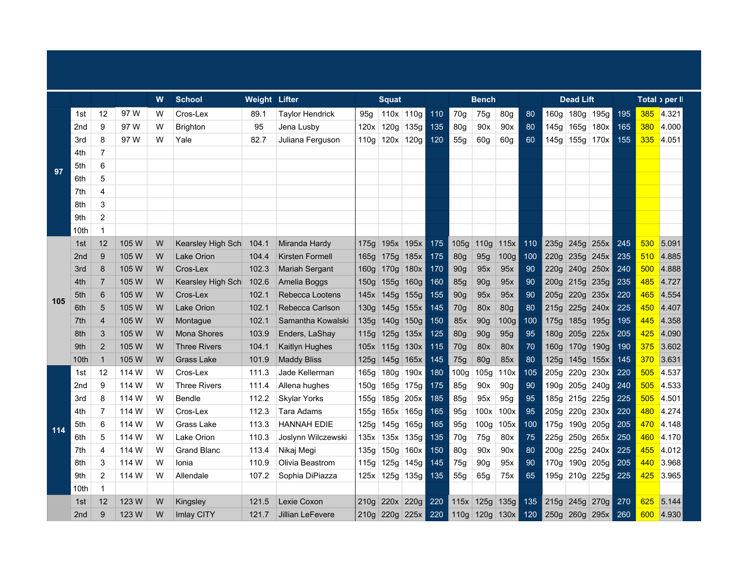|     |                 |                 |       | W | <b>School</b>       | <b>Weight Lifter</b> |                        | <b>Squat</b><br>110x 110g<br>95a |             |             |     |                  | <b>Bench</b>     |                  |     |                  | <b>Dead Lift</b> |                |     |     | Total <sub>2</sub> per ll |
|-----|-----------------|-----------------|-------|---|---------------------|----------------------|------------------------|----------------------------------|-------------|-------------|-----|------------------|------------------|------------------|-----|------------------|------------------|----------------|-----|-----|---------------------------|
|     | 1st             | 12              | 97 W  | W | Cros-Lex            | 89.1                 | <b>Taylor Hendrick</b> |                                  |             |             | 110 | 70g              | 75g              | 80 <sub>g</sub>  | 80  | 160 <sub>g</sub> | 180g 195g        |                | 195 | 385 | 4.321                     |
|     | 2nd             | 9               | 97 W  | W | <b>Brighton</b>     | 95                   | Jena Lusby             | 120x                             | 120g        | 135g        | 135 | 80 <sub>g</sub>  | 90x              | 90x              | 80  | 145g             | 165g             | 180x           | 165 | 380 | 4.000                     |
| 97  | 3rd             | 8               | 97 W  | W | Yale                | 82.7                 | Juliana Ferguson       | 110g                             | 120x 120g   |             | 120 | 55g              | 60g              | 60g              | 60  | 145g             | 155g 170x        |                | 155 | 335 | 4.051                     |
|     | 4th             | $\overline{7}$  |       |   |                     |                      |                        |                                  |             |             |     |                  |                  |                  |     |                  |                  |                |     |     |                           |
|     | 5th             | 6               |       |   |                     |                      |                        |                                  |             |             |     |                  |                  |                  |     |                  |                  |                |     |     |                           |
|     | 6th             | 5               |       |   |                     |                      |                        |                                  |             |             |     |                  |                  |                  |     |                  |                  |                |     |     |                           |
|     | 7th             | 4               |       |   |                     |                      |                        |                                  |             |             |     |                  |                  |                  |     |                  |                  |                |     |     |                           |
|     | 8th             | 3               |       |   |                     |                      |                        |                                  |             |             |     |                  |                  |                  |     |                  |                  |                |     |     |                           |
|     | 9th             | $\overline{2}$  |       |   |                     |                      |                        |                                  |             |             |     |                  |                  |                  |     |                  |                  |                |     |     |                           |
|     | 10th            | $\mathbf{1}$    |       |   |                     |                      |                        |                                  |             |             |     |                  |                  |                  |     |                  |                  |                |     |     |                           |
| 105 | 1st             | 12              | 105 W | W | Kearsley High Sch   | 104.1                | Miranda Hardy          | 175q                             |             | $195x$ 195x | 175 | 105g             | 110 <sub>g</sub> | 115x             | 110 | 235g             | 245g 255x        |                | 245 | 530 | 5.091                     |
|     | 2 <sub>nd</sub> | 9               | 105 W | W | <b>Lake Orion</b>   | 104.4                | <b>Kirsten Formell</b> | 165g                             | 175g        | 185x        | 175 | 80g              | 95g              | 100 <sub>g</sub> | 100 | 220g             |                  | $235g$ 245x    | 235 | 510 | 4.885                     |
|     | 3rd             | 8               | 105 W | W | Cros-Lex            | 102.3                | <b>Mariah Sergant</b>  | 160q                             | 170g        | 180x        | 170 | 90 <sub>g</sub>  | 95x              | 95x              | 90  | 220g             |                  | $240g$ 250x    | 240 | 500 | 4.888                     |
|     | 4th             | $\overline{7}$  | 105 W | W | Kearsley High Sch   | 102.6                | Amelia Boggs           | 150g                             | 155g        | 160g        | 160 | <b>85g</b>       | 90g              | 95x              | 90  | 200g             | 215g 235g        |                | 235 | 485 | 4.727                     |
|     | 5th             | $6\phantom{1}6$ | 105 W | W | Cros-Lex            | 102.1                | Rebecca Lootens        | 145x                             | 145g        | 155g        | 155 | 90g              | 95x              | 95x              | 90  | 205g             | 220g 235x        |                | 220 | 465 | 4.554                     |
|     | 6th             | 5               | 105 W | W | Lake Orion          | 102.1                | Rebecca Carlson        | 130q                             | 145g        | 155x        | 145 | 70g              | 80x              | 80 <sub>g</sub>  | 80  | 215g             | 225g             | 240x           | 225 | 450 | 4.407                     |
|     | 7th             | $\overline{4}$  | 105 W | W | Montague            | 102.1                | Samantha Kowalski      | 135g                             |             | 140g 150g   | 150 | 85x              | 90g              | 100 <sub>g</sub> | 100 | 175g             | 185g             | 195g           | 195 | 445 | 4.358                     |
|     | 8th             | 3               | 105 W | W | <b>Mona Shores</b>  | 103.9                | Enders, LaShay         | 115g                             | 125g        | 135x        | 125 | 80g              | 90g              | 95g              | 95  | 180 <sub>g</sub> |                  | 205g 225x      | 205 | 425 | 4.090                     |
|     | 9th             | $\overline{2}$  | 105 W | W | <b>Three Rivers</b> | 104.1                | Kaitlyn Hughes         | 105x                             | $115g$ 130x |             | 115 | 70g              | 80x              | 80x              | 70  | 160 <sub>g</sub> |                  | $170g$ 190g    | 190 | 375 | 3.602                     |
|     | 10th            | $\mathbf{1}$    | 105 W | W | <b>Grass Lake</b>   | 101.9                | <b>Maddy Bliss</b>     | 125g                             | 145g        | 165x        | 145 | 75g              | 80 <sub>g</sub>  | 85x              | 80  | 125g             | 145g 155x        |                | 145 | 370 | 3.631                     |
|     | 1st             | 12              | 114 W | W | Cros-Lex            | 111.3                | Jade Kellerman         | 165g                             | 180q        | 190x        | 180 | 100 <sub>g</sub> | 105q             | 110x             | 105 | 205g             | 220q             | 230x           | 220 | 505 | 4.537                     |
|     | 2nd             | 9               | 114 W | W | <b>Three Rivers</b> | 111.4                | Allena hughes          | 150g                             |             | 165g 175g   | 175 | 85g              | 90x              | 90g              | 90  | 190g             |                  | 205g 240g      | 240 | 505 | 4.533                     |
|     | 3rd             | 8               | 114 W | W | Bendle              | 112.2                | <b>Skylar Yorks</b>    | 155g                             | 185g        | 205x        | 185 | 85g              | 95x              | 95g              | 95  | 185g             |                  | $215g$ 225g    | 225 | 505 | 4.501                     |
|     | 4th             | $\overline{7}$  | 114 W | W | Cros-Lex            | 112.3                | Tara Adams             | 155g                             |             | 165x 165g   | 165 | 95g              | 100x             | 100x             | 95  | 205g             |                  | 220g 230x      | 220 | 480 | 4.274                     |
| 114 | 5th             | 6               | 114 W | W | Grass Lake          | 113.3                | <b>HANNAH EDIE</b>     | 125g                             | 145g        | 165g        | 165 | 95g              | 100 <sub>g</sub> | 105x             | 100 | 175g             |                  | $190g$ 205g    | 205 | 470 | 4.148                     |
|     | 6th             | 5               | 114 W | W | Lake Orion          | 110.3                | Joslynn Wilczewski     | 135x                             | 135x        | 135g        | 135 | 70g              | 75g              | 80x              | 75  | 225g             |                  | $250g$ 265x    | 250 | 460 | 4.170                     |
|     | 7th             | 4               | 114 W | W | <b>Grand Blanc</b>  | 113.4                | Nikaj Megi             | 135g                             | 150g        | 160x        | 150 | 80g              | 90x              | 90x              | 80  | 200 <sub>g</sub> |                  | 225g 240x      | 225 | 455 | 4.012                     |
|     | 8th             | 3               | 114 W | W | Ionia               | 110.9                | Olivia Beastrom        | 115g                             | 125g        | 145g        | 145 | 75g              | 90 <sub>q</sub>  | 95x              | 90  | 170g             |                  | 190g 205g      | 205 | 440 | 3.968                     |
|     | 9th             | $\overline{2}$  | 114 W | W | Allendale           | 107.2                | Sophia DiPiazza        | 125x                             | 125g 135g   |             | 135 | 55g              | 65g              | 75x              | 65  |                  |                  | 195g 210g 225g | 225 | 425 | 3.965                     |
|     | 10th            | $\mathbf{1}$    |       |   |                     |                      |                        |                                  |             |             |     |                  |                  |                  |     |                  |                  |                |     |     |                           |
|     | 1st             | 12              | 123 W | W | Kingsley            | 121.5                | Lexie Coxon            | 210q                             | 220x        | 220g        | 220 |                  |                  | 115x 125g 135g   | 135 | 215g             |                  | $245g$ 270g    | 270 | 625 | 5.144                     |
|     | 2 <sub>nd</sub> | 9               | 123 W | W | <b>Imlay CITY</b>   | 121.7                | Jillian LeFevere       | 210q                             |             | 220g 225x   | 220 |                  |                  | 110g 120g 130x   | 120 | 250g             |                  | 260g 295x      | 260 | 600 | 4.930                     |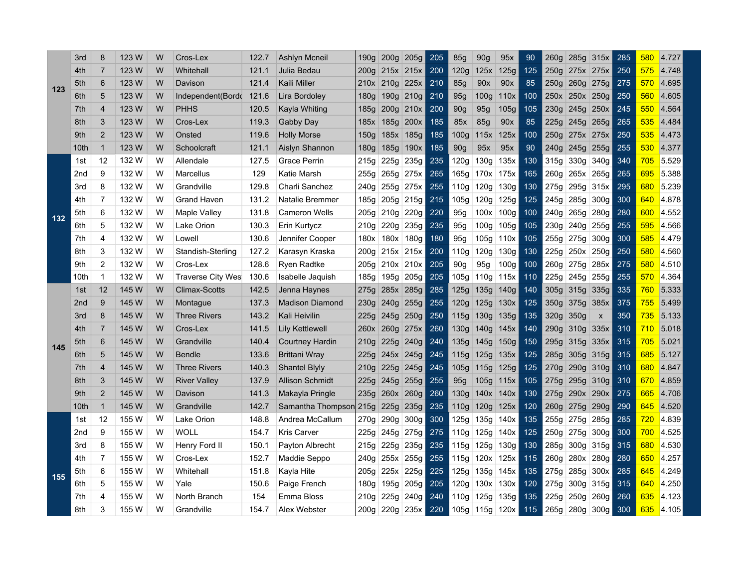|     | 3rd  | 8              | 123 W | W | Cros-Lex            | 122.7 | Ashlyn Mcneil          | 190g             | 200 <sub>g</sub> | 205g             | 205 | <b>85g</b>       | 90g              | 95x              | 90  | 260g | 285g           | 315x      | 285 | 580        | 4.727 |
|-----|------|----------------|-------|---|---------------------|-------|------------------------|------------------|------------------|------------------|-----|------------------|------------------|------------------|-----|------|----------------|-----------|-----|------------|-------|
|     | 4th  | 7              | 123 W | W | Whitehall           | 121.1 | Julia Bedau            | 200g             |                  | $215x$ 215x      | 200 | 120g             | 125x             | 125g             | 125 | 250g |                | 275x 275x | 250 | 575        | 4.748 |
| 123 | 5th  | 6              | 123 W | W | Davison             | 121.4 | Kaili Miller           | 210x             | 210g 225x        |                  | 210 | 85g              | 90x              | 90x              | 85  | 250g |                | 260g 275g | 275 | 570        | 4.695 |
|     | 6th  | 5              | 123 W | W | Independent(Bordo   | 121.6 | Lira Bordoley          | 180g             |                  | 190g 210g        | 210 | 95g              | 100 <sub>g</sub> | 110x             | 100 | 250x |                | 250x 250g | 250 | 560        | 4.605 |
|     | 7th  | 4              | 123 W | W | <b>PHHS</b>         | 120.5 | Kayla Whiting          | 185g             | 200g 210x        |                  | 200 | 90g              | 95g              | 105g             | 105 | 230g |                | 245g 250x | 245 | 550        | 4.564 |
|     | 8th  | 3              | 123 W | W | Cros-Lex            | 119.3 | Gabby Day              | 185x             |                  | 185g 200x        | 185 | 85x              | 85g              | 90x              | 85  | 225g |                | 245g 265g | 265 | 535        | 4.484 |
|     | 9th  | 2              | 123 W | W | Onsted              | 119.6 | <b>Holly Morse</b>     | 150g             | 185x             | 185g             | 185 | 100 <sub>g</sub> | 115x             | 125x             | 100 | 250a |                | 275x 275x | 250 | 535        | 4.473 |
|     | 10th | $\mathbf{1}$   | 123 W | W | Schoolcraft         | 121.1 | Aislyn Shannon         | 180g             | 185g             | 190x             | 185 | 90 <sub>g</sub>  | 95x              | 95x              | 90  | 240a | 245g           | 255g      | 255 | 530        | 4.377 |
|     | 1st  | 12             | 132 W | W | Allendale           | 127.5 | <b>Grace Perrin</b>    | 215g             | 225g             | 235g             | 235 | 120g             | 130 <sub>g</sub> | 135x             | 130 | 315g | 330g           | 340g      | 340 | 705        | 5.529 |
|     | 2nd  | 9              | 132 W | W | Marcellus           | 129   | Katie Marsh            | 255g             | 265g             | 275x             | 265 | 165g             | 170x             | 175x             | 165 | 260g |                | 265x 265g | 265 | 695        | 5.388 |
|     | 3rd  | 8              | 132 W | W | Grandville          | 129.8 | Charli Sanchez         | 240g             | 255g             | 275x             | 255 | 110g             | 120g             | 130g             | 130 | 275g | 295g           | 315x      | 295 | 680        | 5.239 |
|     | 4th  | 7              | 132 W | W | <b>Grand Haven</b>  | 131.2 | Natalie Bremmer        | 185g             |                  | $205g$ 215g      | 215 | 105g             | 120g             | 125g             | 125 | 245g | 285g           | 300g      | 300 | 640        | 4.878 |
| 132 | 5th  | 6              | 132 W | W | Maple Valley        | 131.8 | <b>Cameron Wells</b>   | 205g             | 210g             | 220g             | 220 | 95g              | 100x             | 100g             | 100 | 240a | 265g           | 280g      | 280 | 600        | 4.552 |
|     | 6th  | 5              | 132 W | W | Lake Orion          | 130.3 | Erin Kurtycz           | 210g             | 220g             | 235g             | 235 | 95g              | 100g             | 105g             | 105 | 230g | 240g           | 255g      | 255 | 595        | 4.566 |
|     | 7th  | 4              | 132 W | W | Lowell              | 130.6 | Jennifer Cooper        | 180x             | 180x             | 180 <sub>g</sub> | 180 | 95g              | 105g             | 110x             | 105 | 255g | 275g           | 300g      | 300 | 585        | 4.479 |
|     | 8th  | 3              | 132 W | W | Standish-Sterling   | 127.2 | Karasyn Kraska         | 200 <sub>g</sub> | 215x             | 215x             | 200 | 110 <sub>g</sub> | 120g             | 130g             | 130 | 225g |                | 250x 250g | 250 | 580        | 4.560 |
|     | 9th  | 2              | 132 W | W | Cros-Lex            | 128.6 | Ryen Radtke            | 205g             |                  | $210x$ 210x      | 205 | 90 <sub>g</sub>  | 95q              | 100 <sub>g</sub> | 100 | 260a |                | 275g 285x | 275 | 580        | 4.510 |
|     | 10th | $\mathbf 1$    | 132 W | W | Traverse City Wes   | 130.6 | Isabelle Jaquish       | 185g             | 195g             | 205g             | 205 | 105g             | 110 <sub>g</sub> | 115x             | 110 | 225g |                | 245g 255g | 255 | 570        | 4.364 |
|     | 1st  | 12             | 145 W | W | Climax-Scotts       | 142.5 | Jenna Haynes           | 275g             |                  | 285x 285g        | 285 | 125g             | 135g             | 140g             | 140 | 305g | 315g           | 335g      | 335 | 760        | 5.333 |
|     | 2nd  | 9              | 145 W | W | Montague            | 137.3 | <b>Madison Diamond</b> | 230g             | 240g             | 255g             | 255 | 120g             | 125g             | 130x             | 125 | 350g | 375g           | 385x      | 375 | 755        | 5.499 |
|     | 3rd  | 8              | 145 W | W | <b>Three Rivers</b> | 143.2 | Kali Heivilin          | 225g             | 245g             | 250g             | 250 | 115g             | 130g             | 135g             | 135 | 320g | 350g           | X         | 350 | 735        | 5.133 |
|     | 4th  | 7              | 145 W | W | Cros-Lex            | 141.5 | Lily Kettlewell        | 260x             | 260g             | 275x             | 260 | 130 <sub>g</sub> | 140g             | 145x             | 140 | 290g | 310g           | 335x      | 310 | 710        | 5.018 |
| 145 | 5th  | 6              | 145 W | W | Grandville          | 140.4 | <b>Courtney Hardin</b> | 210 <sub>g</sub> | 225g             | 240g             | 240 | 135g             | 145g             | 150 <sub>g</sub> | 150 | 295g | 315g           | 335x      | 315 | 705        | 5.021 |
|     | 6th  | 5              | 145 W | W | <b>Bendle</b>       | 133.6 | <b>Brittani Wray</b>   | 225g             |                  | 245x 245g        | 245 | 115g             | 125g             | 135x             | 125 | 285g | 305g           | 315g      | 315 | 685        | 5.127 |
|     | 7th  | 4              | 145 W | W | <b>Three Rivers</b> | 140.3 | <b>Shantel Blyly</b>   | 210g             |                  | 225g 245g        | 245 | 105g             | 115g             | 125g             | 125 | 270g | 290g           | 310g      | 310 | 680        | 4.847 |
|     | 8th  | 3              | 145 W | W | <b>River Valley</b> | 137.9 | <b>Allison Schmidt</b> | 225g             |                  | 245g 255g        | 255 | 95g              | 105g             | 115x             | 105 | 275g |                | 295g 310g | 310 | 670        | 4.859 |
|     | 9th  | 2              | 145 W | W | Davison             | 141.3 | Makayla Pringle        | 235g             | 260x             | 260g             | 260 | 130g             | 140x             | 140x             | 130 | 275g |                | 290x 290x | 275 | 665        | 4.706 |
|     | 10th | $\mathbf{1}$   | 145 W | W | Grandville          | 142.7 | Samantha Thompson 215g |                  | 225g             | 235g             | 235 | 110g             | 120g             | 125x             | 120 | 260g | 275g           | 290g      | 290 | 645        | 4.520 |
|     | 1st  | 12             | 155 W | W | Lake Orion          | 148.8 | Andrea McCallum        | 270g             | 290g             | 300g             | 300 | 125g             | 135g             | 140x             | 135 |      | 255g 275g 285g |           | 285 | <b>720</b> | 4.839 |
|     | 2nd  | 9              | 155 W | W | <b>WOLL</b>         | 154.7 | <b>Kris Carver</b>     | 225g             | 245g 275g        |                  | 275 | 110g             | 125g             | 140x             | 125 | 250g |                | 275g 300g | 300 | 700        | 4.525 |
|     | 3rd  | 8              | 155 W | W | Henry Ford II       | 150.1 | Payton Albrecht        | 215g             | 225g             | 235g             | 235 | 115g             | 125g             | 130 <sub>g</sub> | 130 | 285g |                | 300g 315g | 315 | 680        | 4.530 |
|     | 4th  | $\overline{7}$ | 155 W | W | Cros-Lex            | 152.7 | Maddie Seppo           | 240g             | 255x             | 255g             | 255 | 115g             | 120x             | 125x             | 115 | 260a | 280x           | 280g      | 280 | 650        | 4.257 |
| 155 | 5th  | 6              | 155 W | W | Whitehall           | 151.8 | Kayla Hite             | 205g             | 225x             | 225g             | 225 | 125g             | 135g             | 145x             | 135 | 275g | 285g           | 300x      | 285 | 645        | 4.249 |
|     | 6th  | 5              | 155 W | W | Yale                | 150.6 | Paige French           | 180g             | 195g             | 205g             | 205 | 120g             | 130x             | 130x             | 120 | 275g | 300g           | 315g      | 315 | 640        | 4.250 |
|     | 7th  | 4              | 155 W | W | North Branch        | 154   | Emma Bloss             | 210 <sub>g</sub> | 225g             | 240g             | 240 | 110 <sub>g</sub> | 125g             | 135g             | 135 | 225g | 250g           | 260g      | 260 | 635        | 4.123 |
|     | 8th  | 3              | 155 W | W | Grandville          | 154.7 | Alex Webster           | 200 <sub>g</sub> | 220g 235x        |                  | 220 | 105 <sub>g</sub> | 115g 120x        |                  | 115 | 265g | 280g           | 300g      | 300 | 635        | 4.105 |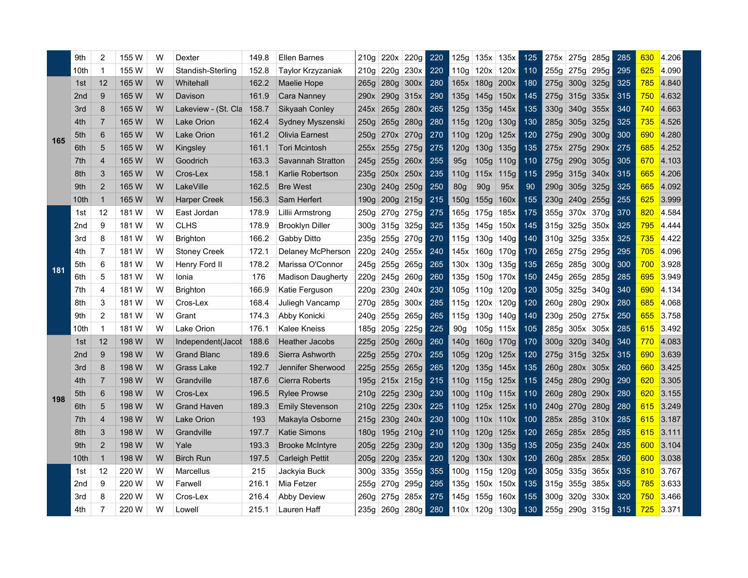|     | 9th             | $\overline{2}$ | 155 W | W | Dexter              | 149.8 | <b>Ellen Barnes</b>      | 210g | 220x 220g      |           | 220 | 125g             | 135x             | 135x             | 125 | 275x             | 275g | 285g             | 285 | 630        | 4.206 |
|-----|-----------------|----------------|-------|---|---------------------|-------|--------------------------|------|----------------|-----------|-----|------------------|------------------|------------------|-----|------------------|------|------------------|-----|------------|-------|
|     | 10th            | $\mathbf 1$    | 155 W | W | Standish-Sterling   | 152.8 | Taylor Krzyzaniak        |      | 210g 220g 230x |           | 220 | 110g             | $120x$ 120x      |                  | 110 |                  |      | 255g 275g 295g   | 295 | 625        | 4.090 |
|     | 1st             | 12             | 165 W | W | Whitehall           | 162.2 | <b>Maelie Hope</b>       | 265g | 280g 300x      |           | 280 |                  | 165x 180g        | 200x             | 180 | 275g             |      | $300g$ 325g      | 325 | 785        | 4.840 |
|     | 2 <sub>nd</sub> | 9              | 165 W | W | Davison             | 161.9 | Cara Nanney              | 290x | 290g 315x      |           | 290 | 135g             | 145g             | 150x             | 145 | 275g             |      | 315g 335x        | 315 | 750        | 4.632 |
|     | 3rd             | 8              | 165 W | w | Lakeview - (St. Cla | 158.7 | Sikyaah Conley           | 245x | 265g           | 280x      | 265 | 125g             | 135g             | 145x             | 135 | 330g             | 340g | 355x             | 340 | 740        | 4.663 |
|     | 4th             | $\overline{7}$ | 165 W | w | Lake Orion          | 162.4 | Sydney Myszenski         | 250g | 265g           | 280g      | 280 | 115g             | 120g             | 130 <sub>g</sub> | 130 | 285g             | 305g | 325g             | 325 | 735        | 4.526 |
|     | 5th             | 6              | 165 W | w | Lake Orion          | 161.2 | <b>Olivia Earnest</b>    | 250g |                | 270x 270g | 270 | 110g             | 120g             | 125x             | 120 | 275q             | 290g | 300 <sub>g</sub> | 300 | 690        | 4.280 |
| 165 | 6th             | 5              | 165 W | W | Kingsley            | 161.1 | <b>Tori Mcintosh</b>     | 255x | 255g           | 275g      | 275 | 120g             | 130g             | 135g             | 135 | 275x             | 275g | 290x             | 275 | 685        | 4.252 |
|     | 7th             | $\overline{4}$ | 165 W | W | Goodrich            | 163.3 | Savannah Stratton        | 245g | 255g           | 260x      | 255 | 95g              | 105g             | 110g             | 110 | 275g             | 290g | 305g             | 305 | 670        | 4.103 |
|     | 8th             | 3              | 165 W | W | Cros-Lex            | 158.1 | Karlie Robertson         | 235g | 250x           | 250x      | 235 | 110 <sub>g</sub> | 115x             | 115g             | 115 | 295g             | 315g | 340x             | 315 | 665        | 4.206 |
|     | 9th             | $\overline{2}$ | 165 W | w | LakeVille           | 162.5 | <b>Bre West</b>          | 230g | 240g           | 250g      | 250 | <b>80g</b>       | 90g              | 95x              | 90  | 290g             | 305g | 325g             | 325 | 665        | 4.092 |
|     | 10th            | $\mathbf{1}$   | 165 W | W | <b>Harper Creek</b> | 156.3 | Sam Herfert              | 190g |                | 200g 215g | 215 | 150 <sub>g</sub> | 155g             | 160x             | 155 | 230g             |      | 240g 255g        | 255 | 625        | 3.999 |
|     | 1st             | 12             | 181 W | W | East Jordan         | 178.9 | Lillii Armstrong         | 250g | 270g 275g      |           | 275 | 165g             | 175g             | 185x             | 175 | 355g             |      | $370x$ 370g      | 370 | 820        | 4.584 |
|     | 2nd             | 9              | 181 W | W | <b>CLHS</b>         | 178.9 | <b>Brooklyn Diller</b>   | 300g | 315g 325g      |           | 325 | 135g             | 145g             | 150x             | 145 | 315g             | 325g | 350x             | 325 | 795        | 4.444 |
| 181 | 3rd             | 8              | 181 W | W | Brighton            | 166.2 | Gabby Ditto              | 235g | 255g           | 270g      | 270 | 115g             | 130g             | 140g             | 140 | 310g             | 325g | 335x             | 325 | 735        | 4.422 |
|     | 4th             | $\overline{7}$ | 181 W | W | <b>Stoney Creek</b> | 172.1 | Delaney McPherson        | 220g | 240g           | 255x      | 240 | 145x             | 160g             | 170g             | 170 | 265g             | 275g | 295g             | 295 | 705        | 4.096 |
|     | 5th             | 6              | 181 W | W | Henry Ford II       | 178.2 | Marissa O'Connor         | 245g | 255g 265g      |           | 265 | 130x             | 130 <sub>g</sub> | 135g             | 135 | 265g             | 285g | 300g             | 300 | 700        | 3.928 |
|     | 6th             | 5              | 181 W | W | Ionia               | 176   | <b>Madison Daugherty</b> | 220g | 245g           | 260g      | 260 | 135g             | 150g             | 170x             | 150 | 245a             | 265g | 285g             | 285 | 695        | 3.949 |
|     | 7th             | 4              | 181 W | W | Brighton            | 166.9 | Katie Ferguson           | 220g | 230g           | 240x      | 230 | 105g             | 110g             | 120g             | 120 | 305 <sub>g</sub> | 325g | 340g             | 340 | 690        | 4.134 |
|     | 8th             | 3              | 181 W | W | Cros-Lex            | 168.4 | Juliegh Vancamp          | 270g | 285g           | 300x      | 285 | 115g             | 120x             | 120g             | 120 | 260g             | 280g | 290x             | 280 | 685        | 4.068 |
|     | 9th             | $\overline{c}$ | 181 W | W | Grant               | 174.3 | Abby Konicki             | 240g | 255g           | 265g      | 265 | 115g             | 130g             | 140g             | 140 | 230g             | 250g | 275x             | 250 | 655        | 3.758 |
|     | 10th            | $\mathbf 1$    | 181 W | W | Lake Orion          | 176.1 | Kalee Kneiss             | 185g | 205g           | 225g      | 225 | 90 <sub>g</sub>  | 105 <sub>g</sub> | 115x             | 105 | 285g             | 305x | 305x             | 285 | 615        | 3.492 |
|     | 1st             | 12             | 198 W | W | Independent(Jacol   | 188.6 | Heather Jacobs           | 225g | 250g           | 260g      | 260 | 140g             | 160 <sub>g</sub> | 170g             | 170 | 300q             | 320g | 340g             | 340 | 770        | 4.083 |
|     | 2 <sub>nd</sub> | 9              | 198 W | W | <b>Grand Blanc</b>  | 189.6 | Sierra Ashworth          | 225g | 255g           | 270x      | 255 | 105g             | 120g             | 125x             | 120 | 275g             | 315g | 325x             | 315 | 690        | 3.639 |
|     | 3rd             | 8              | 198 W | W | <b>Grass Lake</b>   | 192.7 | Jennifer Sherwood        | 225g | 255g           | 265g      | 265 | 120g             | 135g             | 145x             | 135 | 260q             |      | 280x 305x        | 260 | 660        | 3.425 |
|     | 4th             | $\overline{7}$ | 198 W | W | Grandville          | 187.6 | <b>Cierra Roberts</b>    | 195g |                | 215x 215g | 215 | 110 <sub>g</sub> | 115g             | 125x             | 115 | 245g             | 280g | 290g             | 290 | 620        | 3.305 |
| 198 | 5th             | 6              | 198 W | W | Cros-Lex            | 196.5 | <b>Rylee Prowse</b>      | 210g | 225g           | 230g      | 230 | 100 <sub>g</sub> | 110g             | 115x             | 110 | 260a             | 280g | 290x             | 280 | 620        | 3.155 |
|     | 6th             | 5              | 198 W | W | <b>Grand Haven</b>  | 189.3 | <b>Emily Stevenson</b>   | 210g | 225g 230x      |           | 225 | 110 <sub>g</sub> | 125x 125x        |                  | 110 | 240g             |      | 270g 280g        | 280 | 615        | 3.249 |
|     | 7th             | 4              | 198 W | w | Lake Orion          | 193   | Makayla Osborne          | 215g |                | 230g 240x | 230 | 100 <sub>g</sub> | 110x             | 110x             | 100 | 285x             | 285g | 310x             | 285 | 615        | 3.187 |
|     | 8th             | 3              | 198 W | w | Grandville          | 197.7 | <b>Katie Simons</b>      | 180g |                | 195g 210g | 210 | 110 <sub>g</sub> | 120g             | 125x             | 120 | 265g             |      | 285x 285g        | 285 | 615        | 3.111 |
|     | 9th             | $\overline{2}$ | 198 W | W | Yale                | 193.3 | <b>Brooke McIntyre</b>   | 205g | 225g           | 230g      | 230 | 120g             | 130 <sub>g</sub> | 135g             | 135 | 205g             | 235g | 240x             | 235 | 600        | 3.104 |
|     | 10th            | $\mathbf{1}$   | 198 W | W | <b>Birch Run</b>    | 197.5 | <b>Carleigh Pettit</b>   | 205g | 220g           | 235x      | 220 | 120 <sub>g</sub> | 130x             | 130x             | 120 | 260g             | 285x | 285x             | 260 | 600        | 3.038 |
|     | 1st             | 12             | 220 W | W | Marcellus           | 215   | Jackyia Buck             | 300g | 335g           | 355g      | 355 | 100 <sub>g</sub> | 115g             | 120g             | 120 | 305g             | 335g | 365x             | 335 | 810        | 3.767 |
|     | 2nd             | 9              | 220 W | W | Farwell             | 216.1 | Mia Fetzer               | 255g | 270g           | 295g      | 295 | 135g             | 150x             | 150x             | 135 | 315g             | 355g | 385x             | 355 | <b>785</b> | 3.633 |
|     | 3rd             | 8              | 220 W | W | Cros-Lex            | 216.4 | <b>Abby Deview</b>       | 260g | 275g           | 285x      | 275 | 145g             | 155g             | 160x             | 155 | 300g             | 320g | 330x             | 320 | 750        | 3.466 |
|     | 4th             | $\overline{7}$ | 220 W | W | Lowell              | 215.1 | Lauren Haff              | 235g | 260g           | 280g      | 280 |                  | 110x 120g        | 130g             | 130 | 255g             | 290g | 315g             | 315 | 725        | 3.371 |